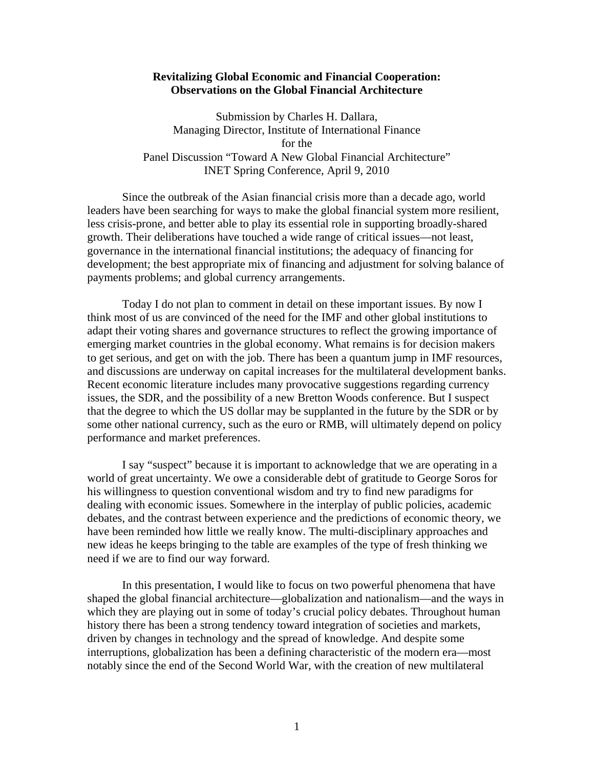# **Revitalizing Global Economic and Financial Cooperation: Observations on the Global Financial Architecture**

Submission by Charles H. Dallara, Managing Director, Institute of International Finance for the Panel Discussion "Toward A New Global Financial Architecture" INET Spring Conference, April 9, 2010

 Since the outbreak of the Asian financial crisis more than a decade ago, world leaders have been searching for ways to make the global financial system more resilient, less crisis-prone, and better able to play its essential role in supporting broadly-shared growth. Their deliberations have touched a wide range of critical issues—not least, governance in the international financial institutions; the adequacy of financing for development; the best appropriate mix of financing and adjustment for solving balance of payments problems; and global currency arrangements.

Today I do not plan to comment in detail on these important issues. By now I think most of us are convinced of the need for the IMF and other global institutions to adapt their voting shares and governance structures to reflect the growing importance of emerging market countries in the global economy. What remains is for decision makers to get serious, and get on with the job. There has been a quantum jump in IMF resources, and discussions are underway on capital increases for the multilateral development banks. Recent economic literature includes many provocative suggestions regarding currency issues, the SDR, and the possibility of a new Bretton Woods conference. But I suspect that the degree to which the US dollar may be supplanted in the future by the SDR or by some other national currency, such as the euro or RMB, will ultimately depend on policy performance and market preferences.

I say "suspect" because it is important to acknowledge that we are operating in a world of great uncertainty. We owe a considerable debt of gratitude to George Soros for his willingness to question conventional wisdom and try to find new paradigms for dealing with economic issues. Somewhere in the interplay of public policies, academic debates, and the contrast between experience and the predictions of economic theory, we have been reminded how little we really know. The multi-disciplinary approaches and new ideas he keeps bringing to the table are examples of the type of fresh thinking we need if we are to find our way forward.

In this presentation, I would like to focus on two powerful phenomena that have shaped the global financial architecture—globalization and nationalism—and the ways in which they are playing out in some of today's crucial policy debates. Throughout human history there has been a strong tendency toward integration of societies and markets, driven by changes in technology and the spread of knowledge. And despite some interruptions, globalization has been a defining characteristic of the modern era—most notably since the end of the Second World War, with the creation of new multilateral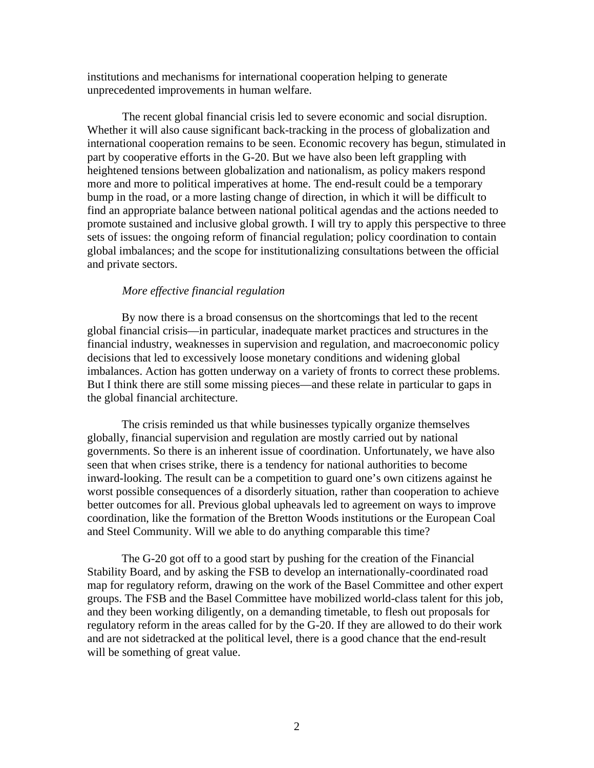institutions and mechanisms for international cooperation helping to generate unprecedented improvements in human welfare.

The recent global financial crisis led to severe economic and social disruption. Whether it will also cause significant back-tracking in the process of globalization and international cooperation remains to be seen. Economic recovery has begun, stimulated in part by cooperative efforts in the G-20. But we have also been left grappling with heightened tensions between globalization and nationalism, as policy makers respond more and more to political imperatives at home. The end-result could be a temporary bump in the road, or a more lasting change of direction, in which it will be difficult to find an appropriate balance between national political agendas and the actions needed to promote sustained and inclusive global growth. I will try to apply this perspective to three sets of issues: the ongoing reform of financial regulation; policy coordination to contain global imbalances; and the scope for institutionalizing consultations between the official and private sectors.

## *More effective financial regulation*

By now there is a broad consensus on the shortcomings that led to the recent global financial crisis—in particular, inadequate market practices and structures in the financial industry, weaknesses in supervision and regulation, and macroeconomic policy decisions that led to excessively loose monetary conditions and widening global imbalances. Action has gotten underway on a variety of fronts to correct these problems. But I think there are still some missing pieces—and these relate in particular to gaps in the global financial architecture.

The crisis reminded us that while businesses typically organize themselves globally, financial supervision and regulation are mostly carried out by national governments. So there is an inherent issue of coordination. Unfortunately, we have also seen that when crises strike, there is a tendency for national authorities to become inward-looking. The result can be a competition to guard one's own citizens against he worst possible consequences of a disorderly situation, rather than cooperation to achieve better outcomes for all. Previous global upheavals led to agreement on ways to improve coordination, like the formation of the Bretton Woods institutions or the European Coal and Steel Community. Will we able to do anything comparable this time?

The G-20 got off to a good start by pushing for the creation of the Financial Stability Board, and by asking the FSB to develop an internationally-coordinated road map for regulatory reform, drawing on the work of the Basel Committee and other expert groups. The FSB and the Basel Committee have mobilized world-class talent for this job, and they been working diligently, on a demanding timetable, to flesh out proposals for regulatory reform in the areas called for by the G-20. If they are allowed to do their work and are not sidetracked at the political level, there is a good chance that the end-result will be something of great value.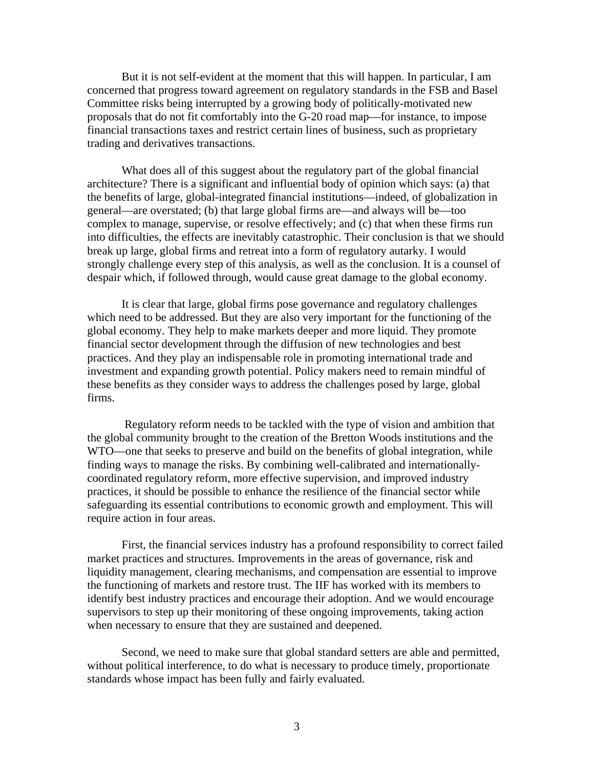But it is not self-evident at the moment that this will happen. In particular, I am concerned that progress toward agreement on regulatory standards in the FSB and Basel Committee risks being interrupted by a growing body of politically-motivated new proposals that do not fit comfortably into the G-20 road map—for instance, to impose financial transactions taxes and restrict certain lines of business, such as proprietary trading and derivatives transactions.

What does all of this suggest about the regulatory part of the global financial architecture? There is a significant and influential body of opinion which says: (a) that the benefits of large, global-integrated financial institutions—indeed, of globalization in general—are overstated; (b) that large global firms are—and always will be—too complex to manage, supervise, or resolve effectively; and (c) that when these firms run into difficulties, the effects are inevitably catastrophic. Their conclusion is that we should break up large, global firms and retreat into a form of regulatory autarky. I would strongly challenge every step of this analysis, as well as the conclusion. It is a counsel of despair which, if followed through, would cause great damage to the global economy.

It is clear that large, global firms pose governance and regulatory challenges which need to be addressed. But they are also very important for the functioning of the global economy. They help to make markets deeper and more liquid. They promote financial sector development through the diffusion of new technologies and best practices. And they play an indispensable role in promoting international trade and investment and expanding growth potential. Policy makers need to remain mindful of these benefits as they consider ways to address the challenges posed by large, global firms.

 Regulatory reform needs to be tackled with the type of vision and ambition that the global community brought to the creation of the Bretton Woods institutions and the WTO—one that seeks to preserve and build on the benefits of global integration, while finding ways to manage the risks. By combining well-calibrated and internationallycoordinated regulatory reform, more effective supervision, and improved industry practices, it should be possible to enhance the resilience of the financial sector while safeguarding its essential contributions to economic growth and employment. This will require action in four areas.

First, the financial services industry has a profound responsibility to correct failed market practices and structures. Improvements in the areas of governance, risk and liquidity management, clearing mechanisms, and compensation are essential to improve the functioning of markets and restore trust. The IIF has worked with its members to identify best industry practices and encourage their adoption. And we would encourage supervisors to step up their monitoring of these ongoing improvements, taking action when necessary to ensure that they are sustained and deepened.

Second, we need to make sure that global standard setters are able and permitted, without political interference, to do what is necessary to produce timely, proportionate standards whose impact has been fully and fairly evaluated.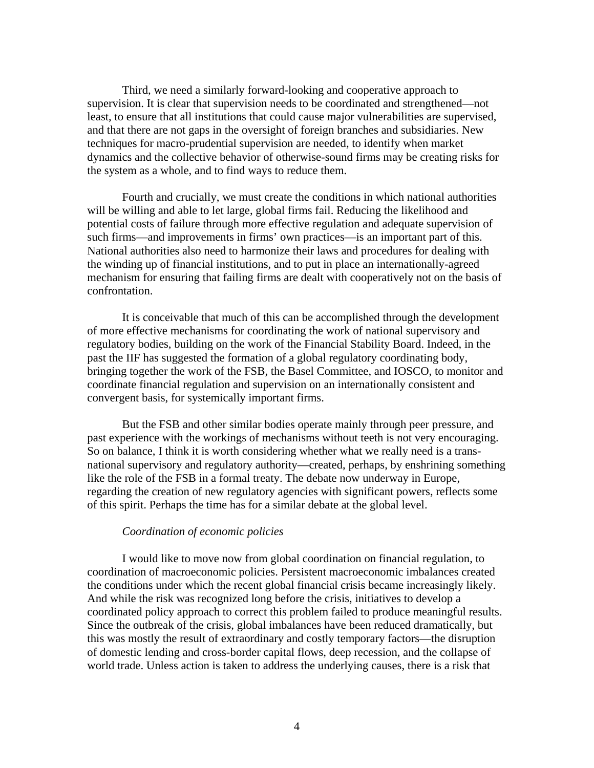Third, we need a similarly forward-looking and cooperative approach to supervision. It is clear that supervision needs to be coordinated and strengthened—not least, to ensure that all institutions that could cause major vulnerabilities are supervised, and that there are not gaps in the oversight of foreign branches and subsidiaries. New techniques for macro-prudential supervision are needed, to identify when market dynamics and the collective behavior of otherwise-sound firms may be creating risks for the system as a whole, and to find ways to reduce them.

Fourth and crucially, we must create the conditions in which national authorities will be willing and able to let large, global firms fail. Reducing the likelihood and potential costs of failure through more effective regulation and adequate supervision of such firms—and improvements in firms' own practices—is an important part of this. National authorities also need to harmonize their laws and procedures for dealing with the winding up of financial institutions, and to put in place an internationally-agreed mechanism for ensuring that failing firms are dealt with cooperatively not on the basis of confrontation.

It is conceivable that much of this can be accomplished through the development of more effective mechanisms for coordinating the work of national supervisory and regulatory bodies, building on the work of the Financial Stability Board. Indeed, in the past the IIF has suggested the formation of a global regulatory coordinating body, bringing together the work of the FSB, the Basel Committee, and IOSCO, to monitor and coordinate financial regulation and supervision on an internationally consistent and convergent basis, for systemically important firms.

But the FSB and other similar bodies operate mainly through peer pressure, and past experience with the workings of mechanisms without teeth is not very encouraging. So on balance, I think it is worth considering whether what we really need is a transnational supervisory and regulatory authority—created, perhaps, by enshrining something like the role of the FSB in a formal treaty. The debate now underway in Europe, regarding the creation of new regulatory agencies with significant powers, reflects some of this spirit. Perhaps the time has for a similar debate at the global level.

### *Coordination of economic policies*

I would like to move now from global coordination on financial regulation, to coordination of macroeconomic policies. Persistent macroeconomic imbalances created the conditions under which the recent global financial crisis became increasingly likely. And while the risk was recognized long before the crisis, initiatives to develop a coordinated policy approach to correct this problem failed to produce meaningful results. Since the outbreak of the crisis, global imbalances have been reduced dramatically, but this was mostly the result of extraordinary and costly temporary factors—the disruption of domestic lending and cross-border capital flows, deep recession, and the collapse of world trade. Unless action is taken to address the underlying causes, there is a risk that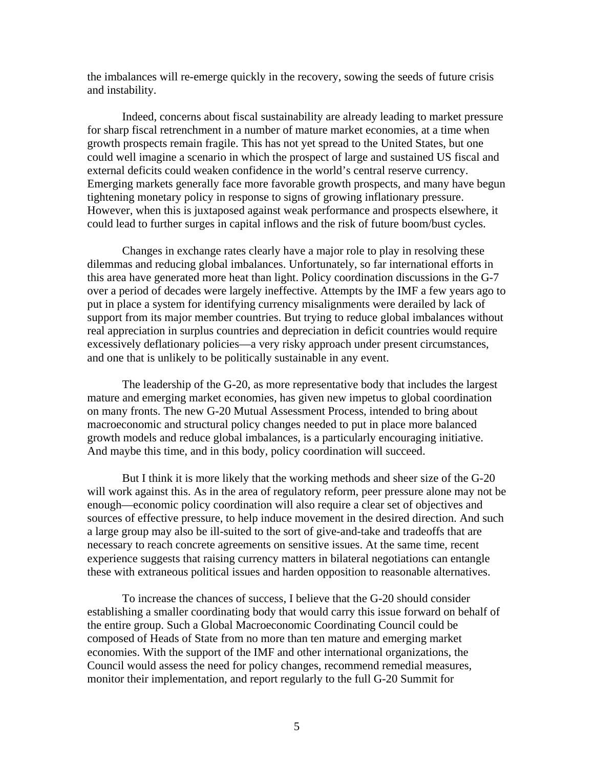the imbalances will re-emerge quickly in the recovery, sowing the seeds of future crisis and instability.

Indeed, concerns about fiscal sustainability are already leading to market pressure for sharp fiscal retrenchment in a number of mature market economies, at a time when growth prospects remain fragile. This has not yet spread to the United States, but one could well imagine a scenario in which the prospect of large and sustained US fiscal and external deficits could weaken confidence in the world's central reserve currency. Emerging markets generally face more favorable growth prospects, and many have begun tightening monetary policy in response to signs of growing inflationary pressure. However, when this is juxtaposed against weak performance and prospects elsewhere, it could lead to further surges in capital inflows and the risk of future boom/bust cycles.

 Changes in exchange rates clearly have a major role to play in resolving these dilemmas and reducing global imbalances. Unfortunately, so far international efforts in this area have generated more heat than light. Policy coordination discussions in the G-7 over a period of decades were largely ineffective. Attempts by the IMF a few years ago to put in place a system for identifying currency misalignments were derailed by lack of support from its major member countries. But trying to reduce global imbalances without real appreciation in surplus countries and depreciation in deficit countries would require excessively deflationary policies—a very risky approach under present circumstances, and one that is unlikely to be politically sustainable in any event.

 The leadership of the G-20, as more representative body that includes the largest mature and emerging market economies, has given new impetus to global coordination on many fronts. The new G-20 Mutual Assessment Process, intended to bring about macroeconomic and structural policy changes needed to put in place more balanced growth models and reduce global imbalances, is a particularly encouraging initiative. And maybe this time, and in this body, policy coordination will succeed.

 But I think it is more likely that the working methods and sheer size of the G-20 will work against this. As in the area of regulatory reform, peer pressure alone may not be enough—economic policy coordination will also require a clear set of objectives and sources of effective pressure, to help induce movement in the desired direction. And such a large group may also be ill-suited to the sort of give-and-take and tradeoffs that are necessary to reach concrete agreements on sensitive issues. At the same time, recent experience suggests that raising currency matters in bilateral negotiations can entangle these with extraneous political issues and harden opposition to reasonable alternatives.

 To increase the chances of success, I believe that the G-20 should consider establishing a smaller coordinating body that would carry this issue forward on behalf of the entire group. Such a Global Macroeconomic Coordinating Council could be composed of Heads of State from no more than ten mature and emerging market economies. With the support of the IMF and other international organizations, the Council would assess the need for policy changes, recommend remedial measures, monitor their implementation, and report regularly to the full G-20 Summit for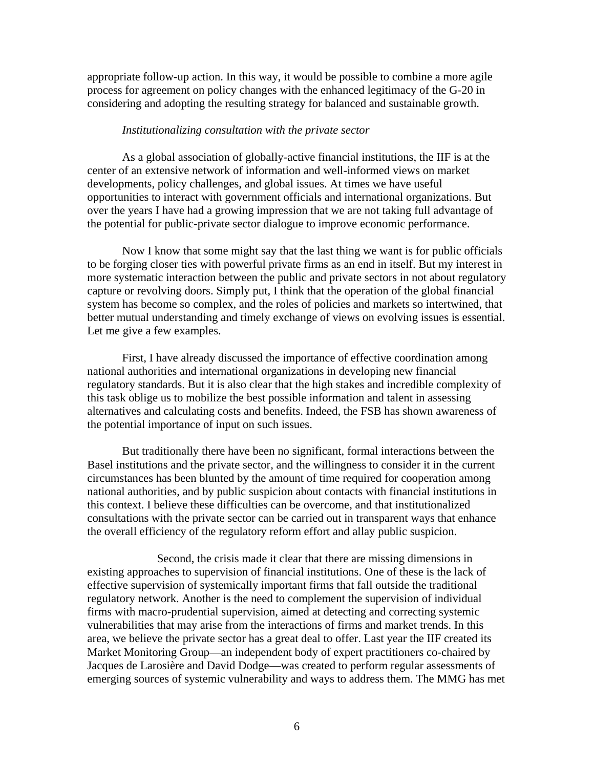appropriate follow-up action. In this way, it would be possible to combine a more agile process for agreement on policy changes with the enhanced legitimacy of the G-20 in considering and adopting the resulting strategy for balanced and sustainable growth.

#### *Institutionalizing consultation with the private sector*

 As a global association of globally-active financial institutions, the IIF is at the center of an extensive network of information and well-informed views on market developments, policy challenges, and global issues. At times we have useful opportunities to interact with government officials and international organizations. But over the years I have had a growing impression that we are not taking full advantage of the potential for public-private sector dialogue to improve economic performance.

 Now I know that some might say that the last thing we want is for public officials to be forging closer ties with powerful private firms as an end in itself. But my interest in more systematic interaction between the public and private sectors in not about regulatory capture or revolving doors. Simply put, I think that the operation of the global financial system has become so complex, and the roles of policies and markets so intertwined, that better mutual understanding and timely exchange of views on evolving issues is essential. Let me give a few examples.

 First, I have already discussed the importance of effective coordination among national authorities and international organizations in developing new financial regulatory standards. But it is also clear that the high stakes and incredible complexity of this task oblige us to mobilize the best possible information and talent in assessing alternatives and calculating costs and benefits. Indeed, the FSB has shown awareness of the potential importance of input on such issues.

 But traditionally there have been no significant, formal interactions between the Basel institutions and the private sector, and the willingness to consider it in the current circumstances has been blunted by the amount of time required for cooperation among national authorities, and by public suspicion about contacts with financial institutions in this context. I believe these difficulties can be overcome, and that institutionalized consultations with the private sector can be carried out in transparent ways that enhance the overall efficiency of the regulatory reform effort and allay public suspicion.

 Second, the crisis made it clear that there are missing dimensions in existing approaches to supervision of financial institutions. One of these is the lack of effective supervision of systemically important firms that fall outside the traditional regulatory network. Another is the need to complement the supervision of individual firms with macro-prudential supervision, aimed at detecting and correcting systemic vulnerabilities that may arise from the interactions of firms and market trends. In this area, we believe the private sector has a great deal to offer. Last year the IIF created its Market Monitoring Group—an independent body of expert practitioners co-chaired by Jacques de Larosière and David Dodge—was created to perform regular assessments of emerging sources of systemic vulnerability and ways to address them. The MMG has met